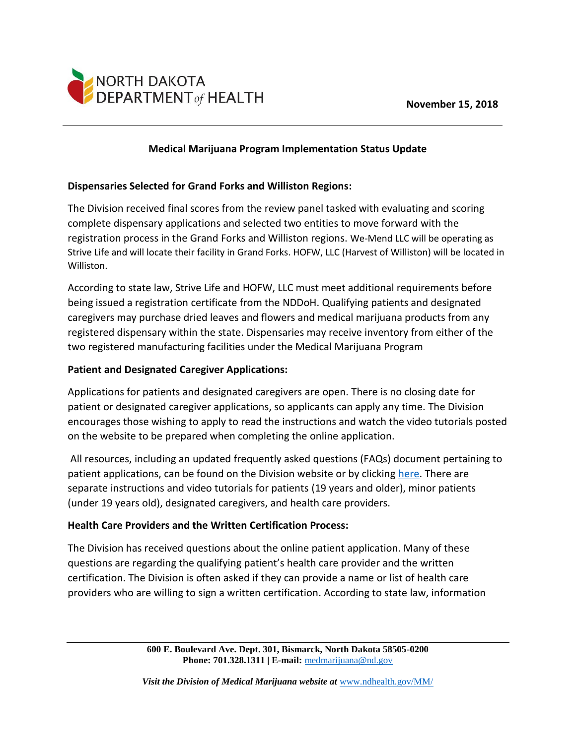

### **Medical Marijuana Program Implementation Status Update**

#### **Dispensaries Selected for Grand Forks and Williston Regions:**

The Division received final scores from the review panel tasked with evaluating and scoring complete dispensary applications and selected two entities to move forward with the registration process in the Grand Forks and Williston regions. We-Mend LLC will be operating as Strive Life and will locate their facility in Grand Forks. HOFW, LLC (Harvest of Williston) will be located in Williston.

According to state law, Strive Life and HOFW, LLC must meet additional requirements before being issued a registration certificate from the NDDoH. Qualifying patients and designated caregivers may purchase dried leaves and flowers and medical marijuana products from any registered dispensary within the state. Dispensaries may receive inventory from either of the two registered manufacturing facilities under the Medical Marijuana Program

#### **Patient and Designated Caregiver Applications:**

Applications for patients and designated caregivers are open. There is no closing date for patient or designated caregiver applications, so applicants can apply any time. The Division encourages those wishing to apply to read the instructions and watch the video tutorials posted on the website to be prepared when completing the online application.

All resources, including an updated frequently asked questions (FAQs) document pertaining to patient applications, can be found on the Division website or by clicking [here.](https://www.ndhealth.gov/MM/) There are separate instructions and video tutorials for patients (19 years and older), minor patients (under 19 years old), designated caregivers, and health care providers.

#### **Health Care Providers and the Written Certification Process:**

The Division has received questions about the online patient application. Many of these questions are regarding the qualifying patient's health care provider and the written certification. The Division is often asked if they can provide a name or list of health care providers who are willing to sign a written certification. According to state law, information

> **600 E. Boulevard Ave. Dept. 301, Bismarck, North Dakota 58505-0200 Phone: 701.328.1311 | E-mail:** [medmarijuana@nd.gov](mailto:medmarijuana@nd.gov)

Visit the Division of Medical Marijuana website at **[www.ndhealth.gov/MM/](http://www.ndhealth.gov/MM/)**